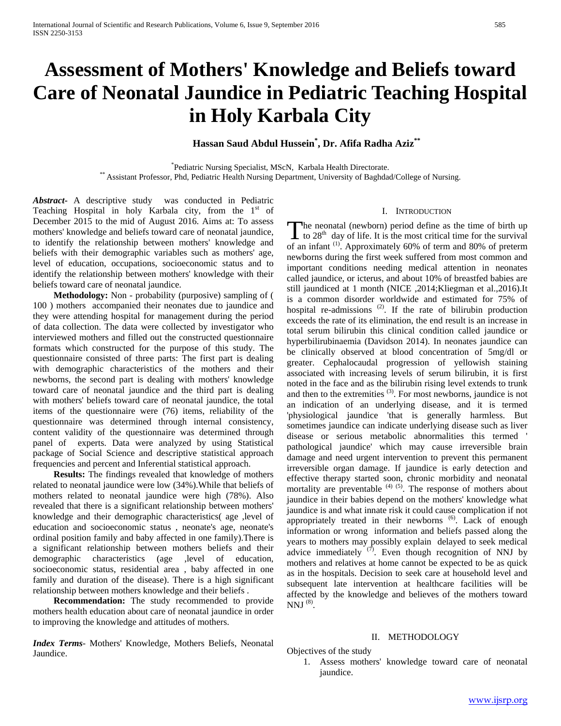# **Assessment of Mothers' Knowledge and Beliefs toward Care of Neonatal Jaundice in Pediatric Teaching Hospital in Holy Karbala City**

# **Hassan Saud Abdul Hussein\* , Dr. Afifa Radha Aziz\*\***

\*Pediatric Nursing Specialist, MScN, Karbala Health Directorate. \*\* Assistant Professor, Phd, Pediatric Health Nursing Department, University of Baghdad/College of Nursing.

*Abstract***-** A descriptive study was conducted in Pediatric Teaching Hospital in holy Karbala city, from the  $1<sup>st</sup>$  of December 2015 to the mid of August 2016. Aims at: To assess mothers' knowledge and beliefs toward care of neonatal jaundice, to identify the relationship between mothers' knowledge and beliefs with their demographic variables such as mothers' age, level of education, occupations, socioeconomic status and to identify the relationship between mothers' knowledge with their beliefs toward care of neonatal jaundice.

 **Methodology:** Non - probability (purposive) sampling of ( 100 ) mothers accompanied their neonates due to jaundice and they were attending hospital for management during the period of data collection. The data were collected by investigator who interviewed mothers and filled out the constructed questionnaire formats which constructed for the purpose of this study. The questionnaire consisted of three parts: The first part is dealing with demographic characteristics of the mothers and their newborns, the second part is dealing with mothers' knowledge toward care of neonatal jaundice and the third part is dealing with mothers' beliefs toward care of neonatal jaundice, the total items of the questionnaire were (76) items, reliability of the questionnaire was determined through internal consistency, content validity of the questionnaire was determined through panel of experts. Data were analyzed by using Statistical package of Social Science and descriptive statistical approach frequencies and percent and Inferential statistical approach.

 **Results:** The findings revealed that knowledge of mothers related to neonatal jaundice were low (34%).While that beliefs of mothers related to neonatal jaundice were high (78%). Also revealed that there is a significant relationship between mothers' knowledge and their demographic characteristics( age ,level of education and socioeconomic status , neonate's age, neonate's ordinal position family and baby affected in one family).There is a significant relationship between mothers beliefs and their demographic characteristics (age ,level of education, socioeconomic status, residential area , baby affected in one family and duration of the disease). There is a high significant relationship between mothers knowledge and their beliefs .

 **Recommendation:** The study recommended to provide mothers health education about care of neonatal jaundice in order to improving the knowledge and attitudes of mothers.

*Index Terms*- Mothers' Knowledge, Mothers Beliefs, Neonatal Jaundice.

#### I. INTRODUCTION

he neonatal (newborn) period define as the time of birth up The neonatal (newborn) period define as the time of birth up<br>to 28<sup>th</sup> day of life. It is the most critical time for the survival<br> $\frac{(1)}{2}$  denoted by  $\frac{(1)}{2}$  denoted by  $\frac{(20)}{2}$  denoted by  $\frac{(20)}{2}$ of an infant (1). Approximately 60% of term and 80% of preterm newborns during the first week suffered from most common and important conditions needing medical attention in neonates called jaundice, or icterus, and about 10% of breastfed babies are still jaundiced at 1 month (NICE ,2014;Kliegman et al.,2016).It is a common disorder worldwide and estimated for 75% of hospital re-admissions  $(2)$ . If the rate of bilirubin production exceeds the rate of its elimination, the end result is an increase in total serum bilirubin this clinical condition called jaundice or hyperbilirubinaemia (Davidson 2014). In neonates jaundice can be clinically observed at blood concentration of 5mg/dl or greater. Cephalocaudal progression of yellowish staining associated with increasing levels of serum bilirubin, it is first noted in the face and as the bilirubin rising level extends to trunk and then to the extremities  $(3)$ . For most newborns, jaundice is not an indication of an underlying disease, and it is termed 'physiological jaundice 'that is generally harmless. But sometimes jaundice can indicate underlying disease such as liver disease or serious metabolic abnormalities this termed ' pathological jaundice' which may cause irreversible brain damage and need urgent intervention to prevent this permanent irreversible organ damage. If jaundice is early detection and effective therapy started soon, chronic morbidity and neonatal mortality are preventable  $(4)$  (5). The response of mothers about jaundice in their babies depend on the mothers' knowledge what jaundice is and what innate risk it could cause complication if not appropriately treated in their newborns <sup>(6)</sup>. Lack of enough information or wrong information and beliefs passed along the years to mothers may possibly explain delayed to seek medical advice immediately  $(7)$ . Even though recognition of NNJ by mothers and relatives at home cannot be expected to be as quick as in the hospitals. Decision to seek care at household level and subsequent late intervention at healthcare facilities will be affected by the knowledge and believes of the mothers toward NNJ (8).

#### II. METHODOLOGY

#### Objectives of the study

1. Assess mothers' knowledge toward care of neonatal jaundice.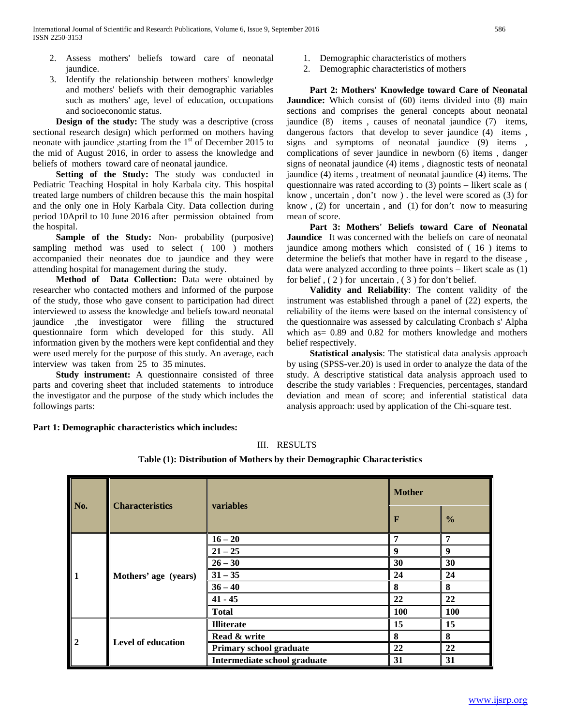- 2. Assess mothers' beliefs toward care of neonatal jaundice.
- 3. Identify the relationship between mothers' knowledge and mothers' beliefs with their demographic variables such as mothers' age, level of education, occupations and socioeconomic status.

 **Design of the study:** The study was a descriptive (cross sectional research design) which performed on mothers having neonate with jaundice , starting from the  $1<sup>st</sup>$  of December 2015 to the mid of August 2016, in order to assess the knowledge and beliefs of mothers toward care of neonatal jaundice.

 **Setting of the Study:** The study was conducted in Pediatric Teaching Hospital in holy Karbala city. This hospital treated large numbers of children because this the main hospital and the only one in Holy Karbala City. Data collection during period 10April to 10 June 2016 after permission obtained from the hospital.

Sample of the Study: Non- probability (purposive) sampling method was used to select ( 100 ) mothers accompanied their neonates due to jaundice and they were attending hospital for management during the study.

 **Method of Data Collection:** Data were obtained by researcher who contacted mothers and informed of the purpose of the study, those who gave consent to participation had direct interviewed to assess the knowledge and beliefs toward neonatal jaundice ,the investigator were filling the structured questionnaire form which developed for this study. All information given by the mothers were kept confidential and they were used merely for the purpose of this study. An average, each interview was taken from 25 to 35 minutes.

 **Study instrument:** A questionnaire consisted of three parts and covering sheet that included statements to introduce the investigator and the purpose of the study which includes the followings parts:

1. Demographic characteristics of mothers

2. Demographic characteristics of mothers

 **Part 2: Mothers' Knowledge toward Care of Neonatal Jaundice:** Which consist of (60) items divided into (8) main sections and comprises the general concepts about neonatal jaundice (8) items , causes of neonatal jaundice (7) items, dangerous factors that develop to sever jaundice (4) items, signs and symptoms of neonatal jaundice (9) items , complications of sever jaundice in newborn (6) items , danger signs of neonatal jaundice (4) items , diagnostic tests of neonatal jaundice (4) items , treatment of neonatal jaundice (4) items. The questionnaire was rated according to (3) points – likert scale as ( know , uncertain , don't now ) . the level were scored as (3) for know , (2) for uncertain , and (1) for don't now to measuring mean of score.

 **Part 3: Mothers' Beliefs toward Care of Neonatal Jaundice** It was concerned with the beliefs on care of neonatal jaundice among mothers which consisted of ( 16 ) items to determine the beliefs that mother have in regard to the disease , data were analyzed according to three points – likert scale as (1) for belief , ( 2 ) for uncertain , ( 3 ) for don't belief.

 **Validity and Reliability**: The content validity of the instrument was established through a panel of (22) experts, the reliability of the items were based on the internal consistency of the questionnaire was assessed by calculating Cronbach s' Alpha which as= 0.89 and 0.82 for mothers knowledge and mothers belief respectively.

 **Statistical analysis**: The statistical data analysis approach by using (SPSS-ver.20) is used in order to analyze the data of the study. A descriptive statistical data analysis approach used to describe the study variables : Frequencies, percentages, standard deviation and mean of score; and inferential statistical data analysis approach: used by application of the Chi-square test.

**Part 1: Demographic characteristics which includes:**

| Ш. | <b>RESULTS</b> |
|----|----------------|
|    |                |

**Table (1): Distribution of Mothers by their Demographic Characteristics**

| No.            | <b>Characteristics</b>    | variables                    | <b>Mother</b> |               |  |
|----------------|---------------------------|------------------------------|---------------|---------------|--|
|                |                           |                              | F             | $\frac{0}{0}$ |  |
|                |                           | $16 - 20$                    | 7             | 7             |  |
|                |                           | $21 - 25$                    | 9             | 9             |  |
|                | Mothers' age (years)      | $26 - 30$                    | 30            | 30            |  |
| $\vert$ 1      |                           | $31 - 35$                    | 24            | 24            |  |
|                |                           | $36 - 40$                    | 8             | 8             |  |
|                |                           | $41 - 45$                    | 22            | 22            |  |
|                |                           | <b>Total</b>                 | 100           | 100           |  |
|                |                           | <b>Illiterate</b>            | 15            | 15            |  |
| $\overline{2}$ | <b>Level of education</b> | Read & write                 | 8             | 8             |  |
|                |                           | Primary school graduate      | 22            | 22            |  |
|                |                           | Intermediate school graduate | 31            | 31            |  |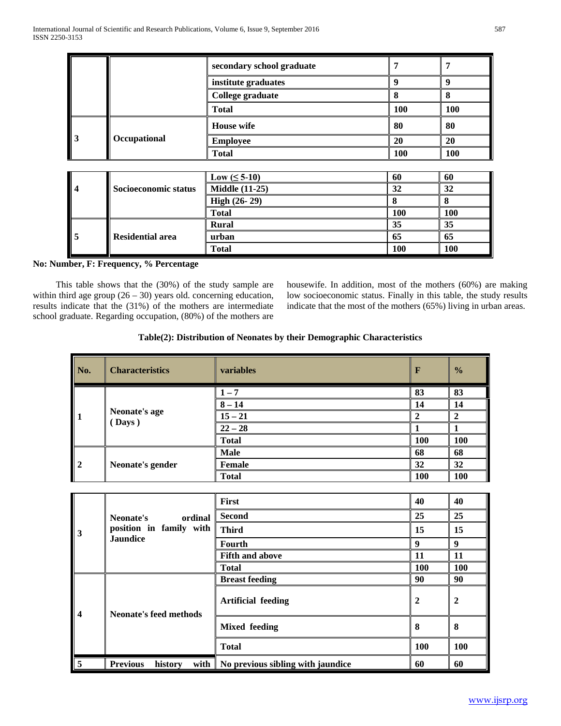|                         |                         | secondary school graduate | 7          | 7          |
|-------------------------|-------------------------|---------------------------|------------|------------|
|                         |                         | institute graduates       | 9          | 9          |
|                         |                         | College graduate          | 8          | 8          |
|                         | <b>Total</b>            |                           | 100        | 100        |
|                         |                         | <b>House</b> wife         | 80         | 80         |
| $\overline{\mathbf{3}}$ | Occupational            | <b>Employee</b>           | 20         | 20         |
|                         |                         | <b>Total</b>              | <b>100</b> | <b>100</b> |
|                         |                         |                           |            |            |
|                         |                         | Low $(\leq 5\n-10)$       | 60         | 60         |
| $\overline{\mathbf{4}}$ | Socioeconomic status    | <b>Middle (11-25)</b>     | 32         | 32         |
|                         |                         | High (26-29)              | 8          | 8          |
|                         |                         | <b>Total</b>              | 100        | 100        |
|                         |                         | <b>Rural</b>              | 35         | 35         |
| 5                       | <b>Residential area</b> | urban                     | 65         | 65         |
|                         |                         | <b>Total</b>              | 100        | 100        |

## **No: Number, F: Frequency, % Percentage**

 This table shows that the (30%) of the study sample are within third age group  $(26 - 30)$  years old. concerning education, results indicate that the (31%) of the mothers are intermediate school graduate. Regarding occupation, (80%) of the mothers are

housewife. In addition, most of the mothers (60%) are making low socioeconomic status. Finally in this table, the study results indicate that the most of the mothers (65%) living in urban areas.

## **Table(2): Distribution of Neonates by their Demographic Characteristics**

| No.           | <b>Characteristics</b> | <b>variables</b> | $\mathbf{F}$ | $\frac{0}{0}$ |
|---------------|------------------------|------------------|--------------|---------------|
|               |                        | $1 - 7$          | 83           | 83            |
|               |                        | $8 - 14$         | 14           | 14            |
| Neonate's age | (Days)                 | $15 - 21$        | $\mathbf{2}$ |               |
|               |                        | $22 - 28$        |              |               |
|               |                        | <b>Total</b>     | <b>100</b>   | 100           |
|               |                        | <b>Male</b>      | 68           | 68            |
| $\mathbf{2}$  | Neonate's gender       | <b>Female</b>    | 32           | 32            |
|               |                        | <b>Total</b>     | <b>100</b>   | <b>100</b>    |

|                         |                                            | <b>First</b>                      | 40             | 40         |
|-------------------------|--------------------------------------------|-----------------------------------|----------------|------------|
|                         | Neonate's<br>ordinal                       | <b>Second</b>                     | 25             | 25         |
| 3                       | position in family with                    | <b>Third</b>                      | 15             | 15         |
|                         | <b>Jaundice</b>                            | <b>Fourth</b>                     | 9              | 9          |
|                         |                                            | <b>Fifth and above</b>            | 11             | 11         |
|                         |                                            | <b>Total</b>                      | <b>100</b>     | <b>100</b> |
|                         |                                            | <b>Breast feeding</b>             | 90             | 90         |
| $\overline{\mathbf{4}}$ | Neonate's feed methods                     | <b>Artificial feeding</b>         | $\overline{2}$ | 2          |
|                         |                                            | <b>Mixed feeding</b>              | 8              | 8          |
|                         |                                            | <b>Total</b>                      | <b>100</b>     | 100        |
| 5                       | with $\vert$<br><b>Previous</b><br>history | No previous sibling with jaundice | 60             | 60         |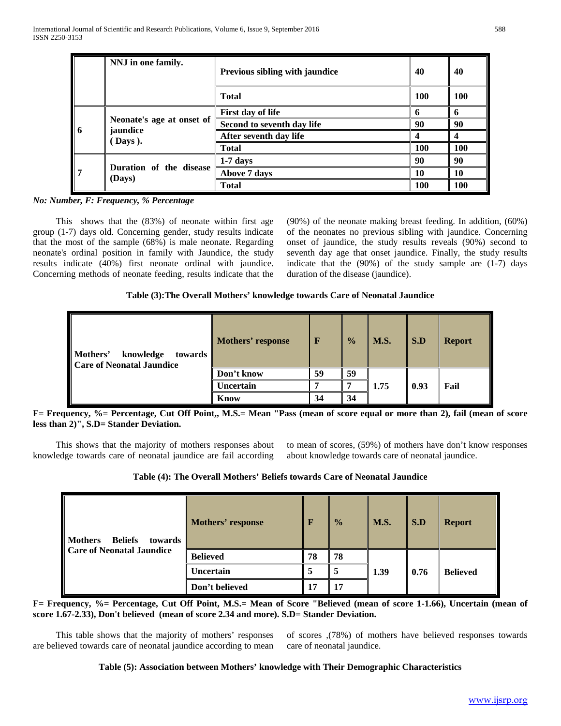|                          | NNJ in one family.                | Previous sibling with jaundice | 40         | 40         |
|--------------------------|-----------------------------------|--------------------------------|------------|------------|
|                          |                                   | <b>Total</b>                   | <b>100</b> | <b>100</b> |
|                          |                                   | First day of life              |            |            |
| $\overline{\phantom{a}}$ | Neonate's age at onset of         | Second to seventh day life     | 90         | 90         |
|                          | jaundice<br>Days).                | After seventh day life         |            |            |
|                          |                                   | <b>Total</b>                   | <b>100</b> | <b>100</b> |
|                          |                                   | $1-7$ days                     | 90         | 90         |
| $\parallel$ <sup>7</sup> | Duration of the disease<br>(Days) | Above 7 days                   | 10         | 10         |
|                          |                                   | <b>Total</b>                   | <b>100</b> | <b>100</b> |

*No: Number, F: Frequency, % Percentage*

 This shows that the (83%) of neonate within first age group (1-7) days old. Concerning gender, study results indicate that the most of the sample (68%) is male neonate. Regarding neonate's ordinal position in family with Jaundice, the study results indicate (40%) first neonate ordinal with jaundice. Concerning methods of neonate feeding, results indicate that the (90%) of the neonate making breast feeding. In addition, (60%) of the neonates no previous sibling with jaundice. Concerning onset of jaundice, the study results reveals (90%) second to seventh day age that onset jaundice. Finally, the study results indicate that the  $(90\%)$  of the study sample are  $(1-7)$  days duration of the disease (jaundice).

## **Table (3):The Overall Mothers' knowledge towards Care of Neonatal Jaundice**

| Mothers'<br>knowledge<br>towards<br><b>Care of Neonatal Jaundice</b> | Mothers' response | $\mathbf F$ | $\frac{0}{0}$ | <b>M.S.</b> | S.D  | <b>Report</b> |  |
|----------------------------------------------------------------------|-------------------|-------------|---------------|-------------|------|---------------|--|
|                                                                      | Don't know        | 59          | 59            |             |      |               |  |
|                                                                      | U <b>ncertain</b> |             |               | 1.75        | 0.93 | Fail          |  |
|                                                                      | <b>Know</b>       | 34          | 34            |             |      |               |  |

**F= Frequency, %= Percentage, Cut Off Point,, M.S.= Mean "Pass (mean of score equal or more than 2), fail (mean of score less than 2)", S.D= Stander Deviation.**

 This shows that the majority of mothers responses about knowledge towards care of neonatal jaundice are fail according

to mean of scores, (59%) of mothers have don't know responses about knowledge towards care of neonatal jaundice.

**Table (4): The Overall Mothers' Beliefs towards Care of Neonatal Jaundice**

| <b>Mothers</b><br><b>Beliefs</b><br>towards<br>Care of Neonatal Jaundice | Mothers' response | F  | $\frac{0}{2}$ | M.S. | S.D  | <b>Report</b>   |
|--------------------------------------------------------------------------|-------------------|----|---------------|------|------|-----------------|
|                                                                          | <b>Believed</b>   | 78 | 78            |      |      |                 |
|                                                                          | Uncertain         | 5  |               | 1.39 | 0.76 | <b>Believed</b> |
|                                                                          | Don't believed    | 17 | 17            |      |      |                 |

**F= Frequency, %= Percentage, Cut Off Point, M.S.= Mean of Score "Believed (mean of score 1-1.66), Uncertain (mean of score 1.67-2.33), Don't believed (mean of score 2.34 and more). S.D= Stander Deviation.**

 This table shows that the majority of mothers' responses are believed towards care of neonatal jaundice according to mean of scores ,(78%) of mothers have believed responses towards care of neonatal jaundice.

#### **Table (5): Association between Mothers' knowledge with Their Demographic Characteristics**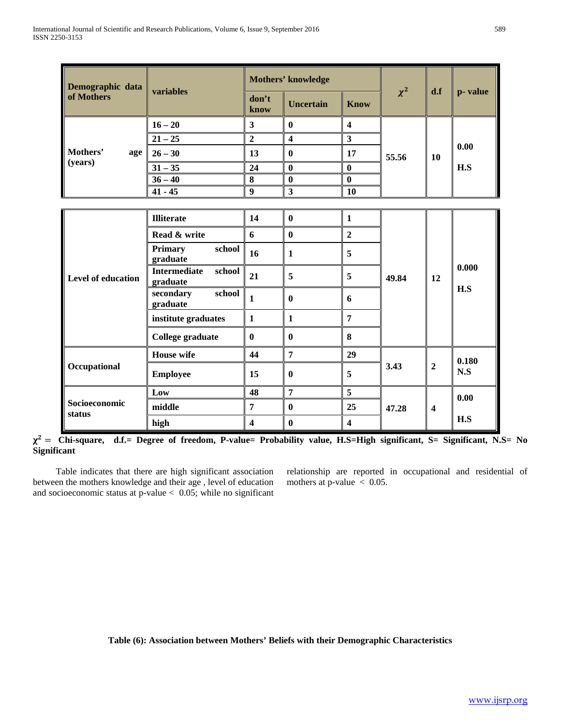| Demographic data          | variables                                 |                         | Mothers' knowledge      |                         |          | d.f                     | p-value |  |
|---------------------------|-------------------------------------------|-------------------------|-------------------------|-------------------------|----------|-------------------------|---------|--|
| of Mothers                |                                           | don't<br>know           | <b>Uncertain</b>        | <b>Know</b>             | $\chi^2$ |                         |         |  |
|                           | $16 - 20$                                 | $\overline{\mathbf{3}}$ | $\bf{0}$                | $\overline{\mathbf{4}}$ |          |                         |         |  |
|                           | $21 - 25$                                 | $\overline{2}$          | $\overline{\mathbf{4}}$ | $\mathbf{3}$            |          |                         |         |  |
| Mothers'<br>age           | $26 - 30$                                 | 13                      | $\mathbf{0}$            | 17                      | 55.56    | 10                      | 0.00    |  |
| (years)                   | $31 - 35$                                 | 24                      | $\bf{0}$                | $\bf{0}$                |          |                         | H.S     |  |
|                           | $36 - 40$                                 | $\bf{8}$                | $\boldsymbol{0}$        | $\bf{0}$                |          |                         |         |  |
|                           | $41 - 45$                                 | 9                       | $\overline{\mathbf{3}}$ | <b>10</b>               |          |                         |         |  |
|                           |                                           |                         |                         |                         |          |                         |         |  |
|                           | <b>Illiterate</b>                         | 14                      | $\bf{0}$                | $\mathbf{1}$            |          |                         |         |  |
|                           | Read & write                              | 6                       | $\bf{0}$                | $\overline{2}$          |          |                         |         |  |
|                           | <b>Primary</b><br>school<br>graduate      | 16                      | 1                       | 5                       |          |                         |         |  |
| <b>Level of education</b> | <b>Intermediate</b><br>school<br>graduate | 21                      | 5                       | 5                       | 49.84    | 12                      | 0.000   |  |
|                           | school<br>secondary<br>graduate           | $\mathbf{1}$            | $\mathbf{0}$            | 6                       |          |                         | H.S     |  |
|                           | institute graduates                       | $\mathbf{1}$            | $\mathbf{1}$            | $\overline{7}$          |          |                         |         |  |
|                           | College graduate                          | $\bf{0}$                | $\mathbf{0}$            | 8                       |          |                         |         |  |
|                           | <b>House wife</b>                         | 44                      | $\overline{7}$          | 29                      |          |                         | 0.180   |  |
| Occupational              | <b>Employee</b>                           | 15                      | $\mathbf{0}$            | 5                       | 3.43     | $\boldsymbol{2}$        | N.S     |  |
|                           | Low                                       | 48                      | $\overline{7}$          | 5                       |          |                         | 0.00    |  |
| Socioeconomic             | middle                                    | $\overline{7}$          | $\mathbf{0}$            | 25                      | 47.28    | $\overline{\mathbf{4}}$ |         |  |
| status                    | high                                      | $\overline{\mathbf{4}}$ | $\bf{0}$                | $\overline{\mathbf{4}}$ |          |                         | H.S     |  |

 = **Chi-square, d.f.= Degree of freedom, P-value= Probability value, H.S=High significant, S= Significant, N.S= No Significant**

 Table indicates that there are high significant association between the mothers knowledge and their age , level of education and socioeconomic status at p-value < 0.05; while no significant

relationship are reported in occupational and residential of mothers at p-value  $\langle 0.05,$ 

**Table (6): Association between Mothers' Beliefs with their Demographic Characteristics**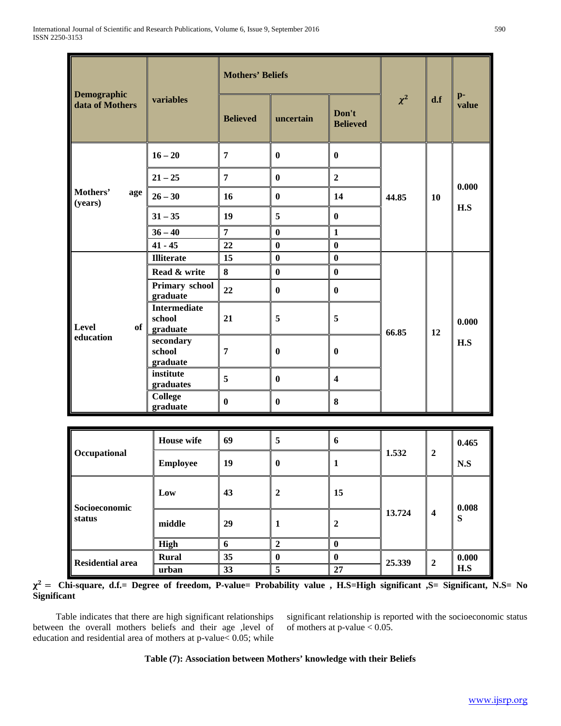| Demographic                |                                           | <b>Mothers' Beliefs</b> |              |                          |          | d.f | $p-$<br>value |
|----------------------------|-------------------------------------------|-------------------------|--------------|--------------------------|----------|-----|---------------|
| data of Mothers            | variables                                 | <b>Believed</b>         | uncertain    | Don't<br><b>Believed</b> | $\chi^2$ |     |               |
|                            | $16 - 20$                                 | 7                       | $\mathbf{0}$ | $\bf{0}$                 |          |     |               |
|                            | $21 - 25$                                 | $\overline{7}$          | $\bf{0}$     | $\overline{2}$           |          |     |               |
| Mothers'<br>age<br>(years) | $26 - 30$                                 | 16                      | $\bf{0}$     | 14                       | 44.85    | 10  | 0.000         |
|                            | $31 - 35$                                 | 19                      | 5            | $\bf{0}$                 |          |     | H.S           |
|                            | $36 - 40$                                 | $\overline{7}$          | $\bf{0}$     | $\mathbf{1}$             |          |     |               |
|                            | $41 - 45$                                 | 22                      | $\bf{0}$     | $\bf{0}$                 |          |     |               |
|                            | <b>Illiterate</b>                         | 15                      | $\bf{0}$     | $\bf{0}$                 |          |     |               |
|                            | Read & write                              | 8                       | $\bf{0}$     | $\bf{0}$                 |          |     |               |
|                            | Primary school<br>graduate                | 22                      | $\bf{0}$     | $\bf{0}$                 |          |     |               |
| Level<br>of                | <b>Intermediate</b><br>school<br>graduate | 21                      | 5            | 5                        | 66.85    | 12  | 0.000         |
| education                  | secondary<br>school<br>graduate           | $\overline{7}$          | $\mathbf{0}$ | $\bf{0}$                 |          |     | H.S           |
|                            | institute<br>graduates                    | 5                       | $\mathbf{0}$ | $\overline{\mathbf{4}}$  |          |     |               |
|                            | <b>College</b><br>graduate                | $\mathbf{0}$            | $\bf{0}$     | 8                        |          |     |               |

|                         | <b>House</b> wife | 69 | 5  | 6  |        |                         | 0.465 |
|-------------------------|-------------------|----|----|----|--------|-------------------------|-------|
| Occupational            | <b>Employee</b>   | 19 | 0  |    | 1.532  | $\overline{2}$          | N.S   |
|                         | Low               | 43 | 2  | 15 |        | $\overline{\mathbf{4}}$ | 0.008 |
| Socioeconomic<br>status | middle            | 29 | -1 | 2  | 13.724 |                         | S     |
|                         | High              | o  |    | 0  |        |                         |       |
| <b>Residential area</b> | <b>Rural</b>      | 35 |    | 0  | 25.339 | $\overline{2}$          | 0.000 |
|                         | urban             | 33 | 5  | 27 |        |                         | H.S   |

 = **Chi-square, d.f.= Degree of freedom, P-value= Probability value , H.S=High significant ,S= Significant, N.S= No Significant**

 Table indicates that there are high significant relationships between the overall mothers beliefs and their age ,level of education and residential area of mothers at p-value< 0.05; while significant relationship is reported with the socioeconomic status of mothers at p-value < 0.05.

## **Table (7): Association between Mothers' knowledge with their Beliefs**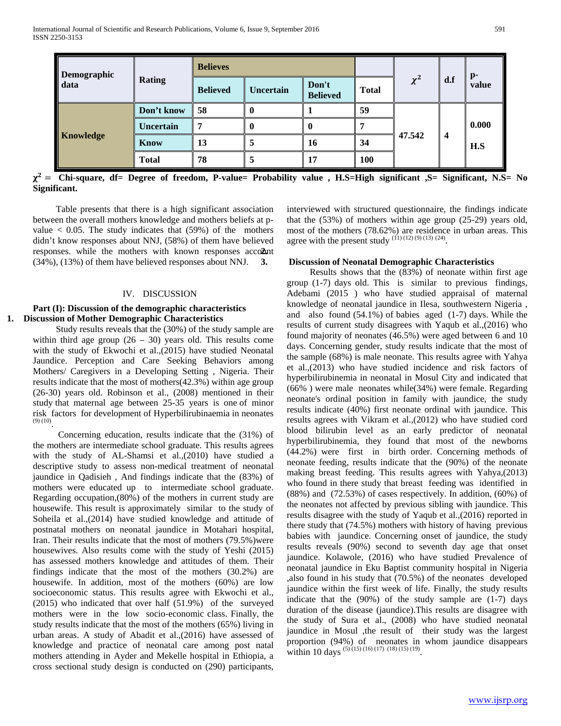| <b>Demographic</b><br>data |               | <b>Believes</b> |           |                          |              |          | $\mathbf{p}$ -   |       |
|----------------------------|---------------|-----------------|-----------|--------------------------|--------------|----------|------------------|-------|
|                            | <b>Rating</b> | <b>Believed</b> | Uncertain | Don't<br><b>Believed</b> | <b>Total</b> | $\chi^2$ | d.f              | value |
|                            | Don't know    | 58              |           |                          | 59           |          | $\boldsymbol{4}$ |       |
|                            | Uncertain     | 7               |           | v                        |              |          |                  | 0.000 |
| Knowledge                  | <b>Know</b>   | 13              | 5         | 16                       | 34           | 47.542   |                  | H.S   |
|                            | <b>Total</b>  | 78              | C         | 17                       | <b>100</b>   |          |                  |       |

 $\chi^2$  = Chi-square, df= Degree of freedom, P-value= Probability value, H.S=High significant  $S$ = Significant, N.S= No **Significant.**

 Table presents that there is a high significant association between the overall mothers knowledge and mothers beliefs at pvalue  $< 0.05$ . The study indicates that (59%) of the mothers didn't know responses about NNJ, (58%) of them have believed responses. while the mothers with known responses account  $(34\%)$ ,  $(13\%)$  of them have believed responses about NNJ. 3.

#### IV. DISCUSSION

## **Part (I): Discussion of the demographic characteristics 1. Discussion of Mother Demographic Characteristics**

 Study results reveals that the (30%) of the study sample are within third age group  $(26 - 30)$  years old. This results come with the study of Ekwochi et al.,(2015) have studied Neonatal Jaundice. Perception and Care Seeking Behaviors among Mothers/ Caregivers in a Developing Setting , Nigeria. Their results indicate that the most of mothers(42.3%) within age group (26-30) years old. Robinson et al., (2008) mentioned in their study that maternal age between 25-35 years is one of minor risk factors for development of Hyperbilirubinaemia in neonates  $(9)(10)$ <sup>p</sup>.

 Concerning education, results indicate that the (31%) of the mothers are intermediate school graduate. This results agrees with the study of AL-Shamsi et al.,(2010) have studied a descriptive study to assess non-medical treatment of neonatal jaundice in Qadisieh , And findings indicate that the (83%) of mothers were educated up to intermediate school graduate. Regarding occupation,(80%) of the mothers in current study are housewife. This result is approximately similar to the study of Soheila et al.,(2014) have studied knowledge and attitude of postnatal mothers on neonatal jaundice in Motahari hospital, Iran. Their results indicate that the most of mothers (79.5%)were housewives. Also results come with the study of Yeshi (2015) has assessed mothers knowledge and attitudes of them. Their findings indicate that the most of the mothers (30.2%) are housewife. In addition, most of the mothers (60%) are low socioeconomic status. This results agree with Ekwochi et al., (2015) who indicated that over half (51.9%) of the surveyed mothers were in the low socio-economic class. Finally, the study results indicate that the most of the mothers (65%) living in urban areas. A study of Abadit et al.,(2016) have assessed of knowledge and practice of neonatal care among post natal mothers attending in Ayder and Mekelle hospital in Ethiopia, a cross sectional study design is conducted on (290) participants,

interviewed with structured questionnaire, the findings indicate that the (53%) of mothers within age group (25-29) years old, most of the mothers (78.62%) are residence in urban areas. This agree with the present study  $^{(11)(12)(9)(13)(24)}$ .

### **3. Discussion of Neonatal Demographic Characteristics**

 Results shows that the (83%) of neonate within first age group (1-7) days old. This is similar to previous findings, Adebami (2015 ) who have studied appraisal of maternal knowledge of neonatal jaundice in Ilesa, southwestern Nigeria , and also found (54.1%) of babies aged (1-7) days. While the results of current study disagrees with Yaqub et al.,(2016) who found majority of neonates (46.5%) were aged between 6 and 10 days. Concerning gender, study results indicate that the most of the sample (68%) is male neonate. This results agree with Yahya et al.,(2013) who have studied incidence and risk factors of hyperbilirubinemia in neonatal in Mosul City and indicated that (66% ) were male neonates while(34%) were female. Regarding neonate's ordinal position in family with jaundice, the study results indicate (40%) first neonate ordinal with jaundice. This results agrees with Vikram et al.,(2012) who have studied cord blood bilirubin level as an early predictor of neonatal hyperbilirubinemia, they found that most of the newborns (44.2%) were first in birth order. Concerning methods of neonate feeding, results indicate that the (90%) of the neonate making breast feeding. This results agrees with Yahya,(2013) who found in there study that breast feeding was identified in (88%) and (72.53%) of cases respectively. In addition, (60%) of the neonates not affected by previous sibling with jaundice. This results disagree with the study of Yaqub et al.,(2016) reported in there study that (74.5%) mothers with history of having previous babies with jaundice. Concerning onset of jaundice, the study results reveals (90%) second to seventh day age that onset jaundice. Kolawole, (2016) who have studied Prevalence of neonatal jaundice in Eku Baptist community hospital in Nigeria ,also found in his study that (70.5%) of the neonates developed jaundice within the first week of life. Finally, the study results indicate that the (90%) of the study sample are (1-7) days duration of the disease (jaundice).This results are disagree with the study of Sura et al., (2008) who have studied neonatal jaundice in Mosul ,the result of their study was the largest proportion (94%) of neonates in whom jaundice disappears within 10 days<sup>(5)(15)(16)(17)(18)(15)(19)</sup>.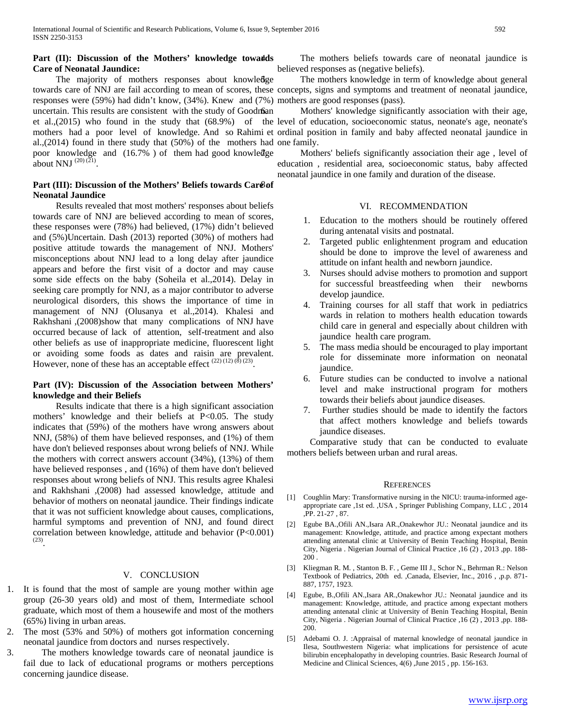## Part (II): Discussion of the Mothers' knowledge towa#ds **Care of Neonatal Jaundice:**

The majority of mothers responses about knowledge responses were (59%) had didn't know, (34%). Knew and (7%) mothers are good responses (pass). uncertain. This results are consistent with the study of Goodman al.,(2014) found in there study that (50%) of the mothers had one family. poor knowledge and (16.7% ) of them had good knowledge about NNJ  $^{(20)(\bar{2}1)}$ .

## Part (III): Discussion of the Mothers' Beliefs towards Car&of **Neonatal Jaundice**

 Results revealed that most mothers' responses about beliefs towards care of NNJ are believed according to mean of scores, these responses were (78%) had believed, (17%) didn't believed and (5%)Uncertain. Dash (2013) reported (30%) of mothers had positive attitude towards the management of NNJ. Mothers' misconceptions about NNJ lead to a long delay after jaundice appears and before the first visit of a doctor and may cause some side effects on the baby (Soheila et al.,2014). Delay in seeking care promptly for NNJ, as a major contributor to adverse neurological disorders, this shows the importance of time in management of NNJ (Olusanya et al.,2014). Khalesi and Rakhshani ,(2008)show that many complications of NNJ have occurred because of lack of attention, self-treatment and also other beliefs as use of inappropriate medicine, fluorescent light or avoiding some foods as dates and raisin are prevalent. However, none of these has an acceptable effect  $^{(22) (12) (\hat{8}) (23)}$ .

## **Part (IV): Discussion of the Association between Mothers' knowledge and their Beliefs**

 Results indicate that there is a high significant association mothers' knowledge and their beliefs at P<0.05. The study indicates that (59%) of the mothers have wrong answers about NNJ, (58%) of them have believed responses, and (1%) of them have don't believed responses about wrong beliefs of NNJ. While the mothers with correct answers account (34%), (13%) of them have believed responses , and (16%) of them have don't believed responses about wrong beliefs of NNJ. This results agree Khalesi and Rakhshani ,(2008) had assessed knowledge, attitude and behavior of mothers on neonatal jaundice. Their findings indicate that it was not sufficient knowledge about causes, complications, harmful symptoms and prevention of NNJ, and found direct correlation between knowledge, attitude and behavior (P<0.001)  $(23)$ 

## V. CONCLUSION

- 1. It is found that the most of sample are young mother within age group (26-30 years old) and most of them, Intermediate school graduate, which most of them a housewife and most of the mothers (65%) living in urban areas.
- 2. The most (53% and 50%) of mothers got information concerning neonatal jaundice from doctors and nurses respectively.
- 3. The mothers knowledge towards care of neonatal jaundice is fail due to lack of educational programs or mothers perceptions concerning jaundice disease.

The mothers beliefs towards care of neonatal jaundice is believed responses as (negative beliefs).

towards care of NNJ are fail according to mean of scores, these concepts, signs and symptoms and treatment of neonatal jaundice, The mothers knowledge in term of knowledge about general

et al.,(2015) who found in the study that (68.9%) of the level of education, socioeconomic status, neonate's age, neonate's mothers had a poor level of knowledge. And so Rahimi et ordinal position in family and baby affected neonatal jaundice in Mothers' knowledge significantly association with their age,

> Mothers' beliefs significantly association their age, level of education , residential area, socioeconomic status, baby affected neonatal jaundice in one family and duration of the disease.

#### VI. RECOMMENDATION

- 1. Education to the mothers should be routinely offered during antenatal visits and postnatal.
- 2. Targeted public enlightenment program and education should be done to improve the level of awareness and attitude on infant health and newborn jaundice.
- 3. Nurses should advise mothers to promotion and support for successful breastfeeding when their newborns develop jaundice.
- 4. Training courses for all staff that work in pediatrics wards in relation to mothers health education towards child care in general and especially about children with jaundice health care program.
- 5. The mass media should be encouraged to play important role for disseminate more information on neonatal jaundice.
- 6. Future studies can be conducted to involve a national level and make instructional program for mothers towards their beliefs about jaundice diseases.
- 7. Further studies should be made to identify the factors that affect mothers knowledge and beliefs towards jaundice diseases.

 Comparative study that can be conducted to evaluate mothers beliefs between urban and rural areas.

#### **REFERENCES**

- [1] Coughlin Mary: Transformative nursing in the NICU: trauma-informed ageappropriate care ,1st ed. ,USA , Springer Publishing Company, LLC , 2014 ,PP. 21-27 , 87.
- [2] Egube BA.,Ofili AN.,Isara AR.,Onakewhor JU.: Neonatal jaundice and its management: Knowledge, attitude, and practice among expectant mothers attending antenatal clinic at University of Benin Teaching Hospital, Benin City, Nigeria . Nigerian Journal of Clinical Practice ,16 (2) , 2013 ,pp. 188- 200 .
- Kliegman R. M., Stanton B. F., Geme III J., Schor N., Behrman R.: Nelson Textbook of Pediatrics, 20th ed. ,Canada, Elsevier, Inc., 2016 , ,p.p. 871- 887, 1757, 1923.
- [4] Egube, B.,Ofili AN.,Isara AR.,Onakewhor JU.: Neonatal jaundice and its management: Knowledge, attitude, and practice among expectant mothers attending antenatal clinic at University of Benin Teaching Hospital, Benin City, Nigeria . Nigerian Journal of Clinical Practice ,16 (2) , 2013 ,pp. 188- 200.
- [5] Adebami O. J. :Appraisal of maternal knowledge of neonatal jaundice in Ilesa, Southwestern Nigeria: what implications for persistence of acute bilirubin encephalopathy in developing countries. Basic Research Journal of Medicine and Clinical Sciences, 4(6) ,June 2015 , pp. 156-163.